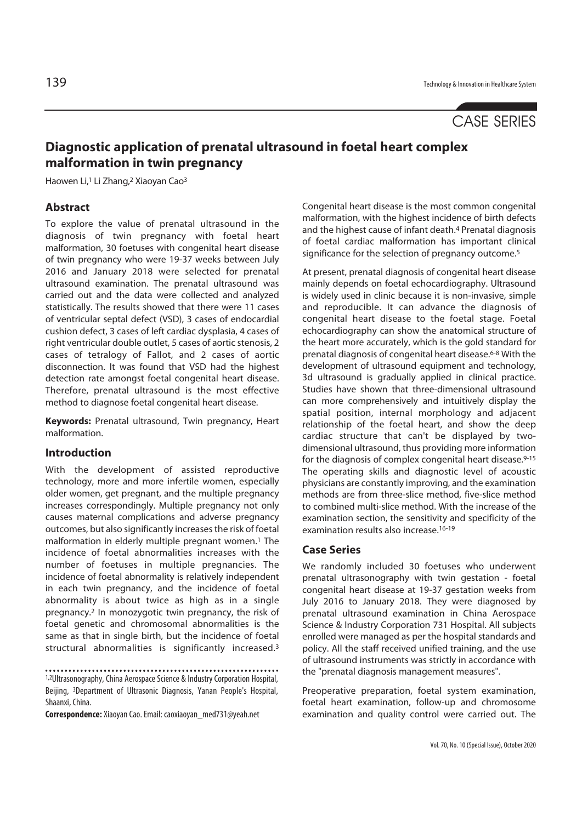# CASE SERIES

# **Diagnostic application of prenatal ultrasound in foetal heart complex malformation in twin pregnancy**

Haowen Li,<sup>1</sup> Li Zhang,<sup>2</sup> Xiaoyan Cao<sup>3</sup>

### **Abstract**

To explore the value of prenatal ultrasound in the diagnosis of twin pregnancy with foetal heart malformation, 30 foetuses with congenital heart disease of twin pregnancy who were 19-37 weeks between July 2016 and January 2018 were selected for prenatal ultrasound examination. The prenatal ultrasound was carried out and the data were collected and analyzed statistically. The results showed that there were 11 cases of ventricular septal defect (VSD), 3 cases of endocardial cushion defect, 3 cases of left cardiac dysplasia, 4 cases of right ventricular double outlet, 5 cases of aortic stenosis, 2 cases of tetralogy of Fallot, and 2 cases of aortic disconnection. It was found that VSD had the highest detection rate amongst foetal congenital heart disease. Therefore, prenatal ultrasound is the most effective method to diagnose foetal congenital heart disease.

**Keywords:** Prenatal ultrasound, Twin pregnancy, Heart malformation.

## **Introduction**

With the development of assisted reproductive technology, more and more infertile women, especially older women, get pregnant, and the multiple pregnancy increases correspondingly. Multiple pregnancy not only causes maternal complications and adverse pregnancy outcomes, but also significantly increases the risk of foetal malformation in elderly multiple pregnant women.1 The incidence of foetal abnormalities increases with the number of foetuses in multiple pregnancies. The incidence of foetal abnormality is relatively independent in each twin pregnancy, and the incidence of foetal abnormality is about twice as high as in a single pregnancy.2 In monozygotic twin pregnancy, the risk of foetal genetic and chromosomal abnormalities is the same as that in single birth, but the incidence of foetal structural abnormalities is significantly increased.3

**Correspondence:** Xiaoyan Cao. Email: caoxiaoyan\_med731@yeah.net

Congenital heart disease is the most common congenital malformation, with the highest incidence of birth defects and the highest cause of infant death.4 Prenatal diagnosis of foetal cardiac malformation has important clinical significance for the selection of pregnancy outcome.<sup>5</sup>

At present, prenatal diagnosis of congenital heart disease mainly depends on foetal echocardiography. Ultrasound is widely used in clinic because it is non-invasive, simple and reproducible. It can advance the diagnosis of congenital heart disease to the foetal stage. Foetal echocardiography can show the anatomical structure of the heart more accurately, which is the gold standard for prenatal diagnosis of congenital heart disease.6-8 With the development of ultrasound equipment and technology, 3d ultrasound is gradually applied in clinical practice. Studies have shown that three-dimensional ultrasound can more comprehensively and intuitively display the spatial position, internal morphology and adjacent relationship of the foetal heart, and show the deep cardiac structure that can't be displayed by twodimensional ultrasound, thus providing more information for the diagnosis of complex congenital heart disease.9-15 The operating skills and diagnostic level of acoustic physicians are constantly improving, and the examination methods are from three-slice method, five-slice method to combined multi-slice method. With the increase of the examination section, the sensitivity and specificity of the examination results also increase.16-19

#### **Case Series**

We randomly included 30 foetuses who underwent prenatal ultrasonography with twin gestation - foetal congenital heart disease at 19-37 gestation weeks from July 2016 to January 2018. They were diagnosed by prenatal ultrasound examination in China Aerospace Science & Industry Corporation 731 Hospital. All subjects enrolled were managed as per the hospital standards and policy. All the staff received unified training, and the use of ultrasound instruments was strictly in accordance with the "prenatal diagnosis management measures".

Preoperative preparation, foetal system examination, foetal heart examination, follow-up and chromosome examination and quality control were carried out. The

<sup>1,2</sup>Ultrasonography, China Aerospace Science & Industry Corporation Hospital, Beijing, 3Department of Ultrasonic Diagnosis, Yanan People's Hospital, Shaanxi, China.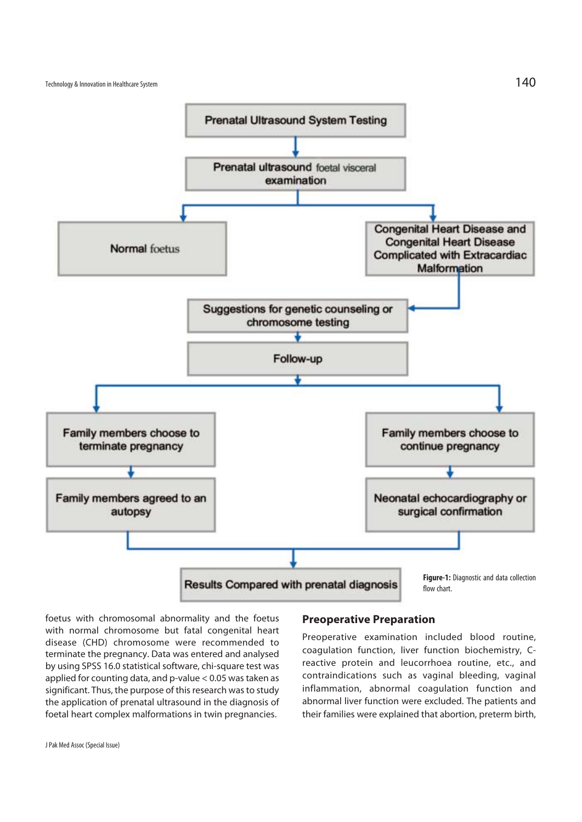

foetus with chromosomal abnormality and the foetus with normal chromosome but fatal congenital heart disease (CHD) chromosome were recommended to terminate the pregnancy. Data was entered and analysed by using SPSS 16.0 statistical software, chi-square test was applied for counting data, and p-value < 0.05 was taken as significant. Thus, the purpose of this research was to study the application of prenatal ultrasound in the diagnosis of foetal heart complex malformations in twin pregnancies.

## **Preoperative Preparation**

Preoperative examination included blood routine, coagulation function, liver function biochemistry, Creactive protein and leucorrhoea routine, etc., and contraindications such as vaginal bleeding, vaginal inflammation, abnormal coagulation function and abnormal liver function were excluded. The patients and their families were explained that abortion, preterm birth,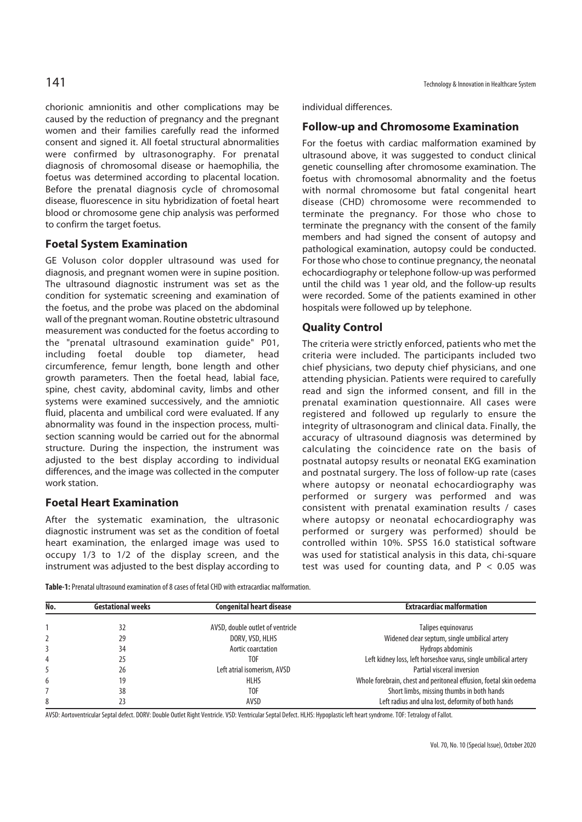chorionic amnionitis and other complications may be caused by the reduction of pregnancy and the pregnant women and their families carefully read the informed consent and signed it. All foetal structural abnormalities were confirmed by ultrasonography. For prenatal diagnosis of chromosomal disease or haemophilia, the foetus was determined according to placental location. Before the prenatal diagnosis cycle of chromosomal disease, fluorescence in situ hybridization of foetal heart blood or chromosome gene chip analysis was performed to confirm the target foetus.

# **Foetal System Examination**

GE Voluson color doppler ultrasound was used for diagnosis, and pregnant women were in supine position. The ultrasound diagnostic instrument was set as the condition for systematic screening and examination of the foetus, and the probe was placed on the abdominal wall of the pregnant woman. Routine obstetric ultrasound measurement was conducted for the foetus according to the "prenatal ultrasound examination guide" P01, including foetal double top diameter, head circumference, femur length, bone length and other growth parameters. Then the foetal head, labial face, spine, chest cavity, abdominal cavity, limbs and other systems were examined successively, and the amniotic fluid, placenta and umbilical cord were evaluated. If any abnormality was found in the inspection process, multisection scanning would be carried out for the abnormal structure. During the inspection, the instrument was adjusted to the best display according to individual differences, and the image was collected in the computer work station.

# **Foetal Heart Examination**

After the systematic examination, the ultrasonic diagnostic instrument was set as the condition of foetal heart examination, the enlarged image was used to occupy 1/3 to 1/2 of the display screen, and the instrument was adjusted to the best display according to individual differences.

# **Follow-up and Chromosome Examination**

For the foetus with cardiac malformation examined by ultrasound above, it was suggested to conduct clinical genetic counselling after chromosome examination. The foetus with chromosomal abnormality and the foetus with normal chromosome but fatal congenital heart disease (CHD) chromosome were recommended to terminate the pregnancy. For those who chose to terminate the pregnancy with the consent of the family members and had signed the consent of autopsy and pathological examination, autopsy could be conducted. For those who chose to continue pregnancy, the neonatal echocardiography or telephone follow-up was performed until the child was 1 year old, and the follow-up results were recorded. Some of the patients examined in other hospitals were followed up by telephone.

# **Quality Control**

The criteria were strictly enforced, patients who met the criteria were included. The participants included two chief physicians, two deputy chief physicians, and one attending physician. Patients were required to carefully read and sign the informed consent, and fill in the prenatal examination questionnaire. All cases were registered and followed up regularly to ensure the integrity of ultrasonogram and clinical data. Finally, the accuracy of ultrasound diagnosis was determined by calculating the coincidence rate on the basis of postnatal autopsy results or neonatal EKG examination and postnatal surgery. The loss of follow-up rate (cases where autopsy or neonatal echocardiography was performed or surgery was performed and was consistent with prenatal examination results / cases where autopsy or neonatal echocardiography was performed or surgery was performed) should be controlled within 10%. SPSS 16.0 statistical software was used for statistical analysis in this data, chi-square test was used for counting data, and  $P < 0.05$  was

**Table-1:** Prenatal ultrasound examination of 8 cases of fetal CHD with extracardiac malformation.

| No. | <b>Gestational weeks</b> | <b>Congenital heart disease</b>  | <b>Extracardiac malformation</b>                                   |
|-----|--------------------------|----------------------------------|--------------------------------------------------------------------|
|     |                          |                                  |                                                                    |
|     | 32                       | AVSD, double outlet of ventricle | Talipes equinovarus                                                |
|     | 29                       | DORV, VSD, HLHS                  | Widened clear septum, single umbilical artery                      |
|     | 34                       | Aortic coarctation               | Hydrops abdominis                                                  |
|     | 25                       | TOF                              | Left kidney loss, left horseshoe varus, single umbilical artery    |
|     | 26                       | Left atrial isomerism, AVSD      | Partial visceral inversion                                         |
| 6   | 19                       | <b>HLHS</b>                      | Whole forebrain, chest and peritoneal effusion, foetal skin oedema |
|     | 38                       | T0F                              | Short limbs, missing thumbs in both hands                          |
| 8   |                          | AVSD                             | Left radius and ulna lost, deformity of both hands                 |

AVSD: Aortoventricular Septal defect. DORV: Double Outlet Right Ventricle. VSD: Ventricular Septal Defect. HLHS: Hypoplastic left heart syndrome. TOF: Tetralogy of Fallot.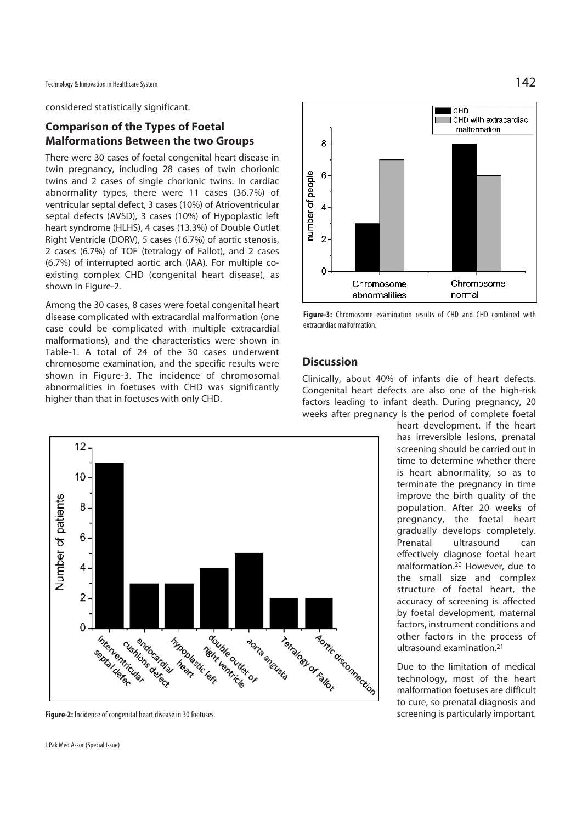considered statistically significant.

# **Comparison of the Types of Foetal Malformations Between the two Groups**

There were 30 cases of foetal congenital heart disease in twin pregnancy, including 28 cases of twin chorionic twins and 2 cases of single chorionic twins. In cardiac abnormality types, there were 11 cases (36.7%) of ventricular septal defect, 3 cases (10%) of Atrioventricular septal defects (AVSD), 3 cases (10%) of Hypoplastic left heart syndrome (HLHS), 4 cases (13.3%) of Double Outlet Right Ventricle (DORV), 5 cases (16.7%) of aortic stenosis, 2 cases (6.7%) of TOF (tetralogy of Fallot), and 2 cases (6.7%) of interrupted aortic arch (IAA). For multiple coexisting complex CHD (congenital heart disease), as shown in Figure-2.

Among the 30 cases, 8 cases were foetal congenital heart disease complicated with extracardial malformation (one case could be complicated with multiple extracardial malformations), and the characteristics were shown in Table-1. A total of 24 of the 30 cases underwent chromosome examination, and the specific results were shown in Figure-3. The incidence of chromosomal abnormalities in foetuses with CHD was significantly higher than that in foetuses with only CHD.



**Figure-3:** Chromosome examination results of CHD and CHD combined with extracardiac malformation.

## **Discussion**

Clinically, about 40% of infants die of heart defects. Congenital heart defects are also one of the high-risk factors leading to infant death. During pregnancy, 20 weeks after pregnancy is the period of complete foetal

heart development. If the heart has irreversible lesions, prenatal screening should be carried out in time to determine whether there is heart abnormality, so as to terminate the pregnancy in time Improve the birth quality of the population. After 20 weeks of pregnancy, the foetal heart gradually develops completely. Prenatal ultrasound can effectively diagnose foetal heart malformation.20 However, due to the small size and complex structure of foetal heart, the accuracy of screening is affected by foetal development, maternal factors, instrument conditions and other factors in the process of ultrasound examination.21

Due to the limitation of medical technology, most of the heart malformation foetuses are difficult to cure, so prenatal diagnosis and screening is particularly important.



**Figure-2:** Incidence of congenital heart disease in 30 foetuses.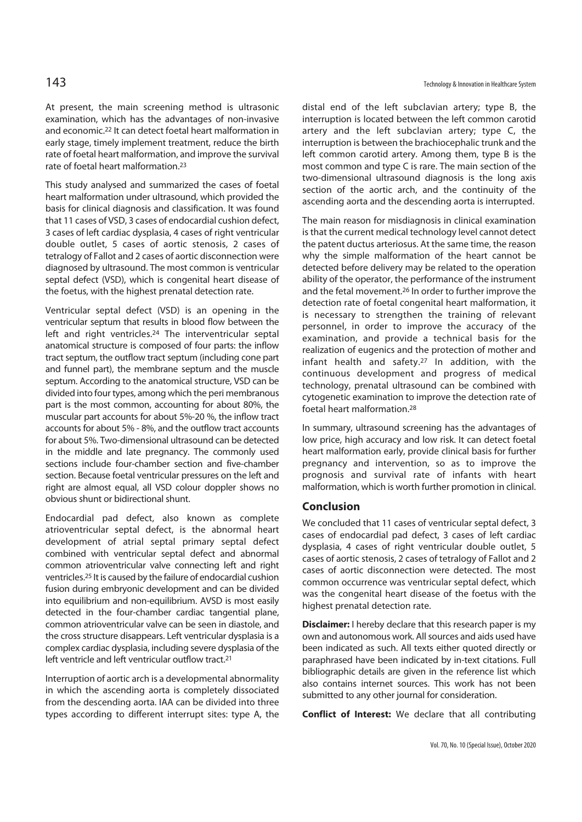At present, the main screening method is ultrasonic examination, which has the advantages of non-invasive and economic.22 It can detect foetal heart malformation in early stage, timely implement treatment, reduce the birth rate of foetal heart malformation, and improve the survival rate of foetal heart malformation.23

This study analysed and summarized the cases of foetal heart malformation under ultrasound, which provided the basis for clinical diagnosis and classification. It was found that 11 cases of VSD, 3 cases of endocardial cushion defect, 3 cases of left cardiac dysplasia, 4 cases of right ventricular double outlet, 5 cases of aortic stenosis, 2 cases of tetralogy of Fallot and 2 cases of aortic disconnection were diagnosed by ultrasound. The most common is ventricular septal defect (VSD), which is congenital heart disease of the foetus, with the highest prenatal detection rate.

Ventricular septal defect (VSD) is an opening in the ventricular septum that results in blood flow between the left and right ventricles.24 The interventricular septal anatomical structure is composed of four parts: the inflow tract septum, the outflow tract septum (including cone part and funnel part), the membrane septum and the muscle septum. According to the anatomical structure, VSD can be divided into four types, among which the peri membranous part is the most common, accounting for about 80%, the muscular part accounts for about 5%-20 %, the inflow tract accounts for about 5% - 8%, and the outflow tract accounts for about 5%. Two-dimensional ultrasound can be detected in the middle and late pregnancy. The commonly used sections include four-chamber section and five-chamber section. Because foetal ventricular pressures on the left and right are almost equal, all VSD colour doppler shows no obvious shunt or bidirectional shunt.

Endocardial pad defect, also known as complete atrioventricular septal defect, is the abnormal heart development of atrial septal primary septal defect combined with ventricular septal defect and abnormal common atrioventricular valve connecting left and right ventricles.25 It is caused by the failure of endocardial cushion fusion during embryonic development and can be divided into equilibrium and non-equilibrium. AVSD is most easily detected in the four-chamber cardiac tangential plane, common atrioventricular valve can be seen in diastole, and the cross structure disappears. Left ventricular dysplasia is a complex cardiac dysplasia, including severe dysplasia of the left ventricle and left ventricular outflow tract.<sup>21</sup>

Interruption of aortic arch is a developmental abnormality in which the ascending aorta is completely dissociated from the descending aorta. IAA can be divided into three types according to different interrupt sites: type A, the

distal end of the left subclavian artery; type B, the interruption is located between the left common carotid artery and the left subclavian artery; type C, the interruption is between the brachiocephalic trunk and the left common carotid artery. Among them, type B is the most common and type C is rare. The main section of the two-dimensional ultrasound diagnosis is the long axis section of the aortic arch, and the continuity of the ascending aorta and the descending aorta is interrupted.

The main reason for misdiagnosis in clinical examination is that the current medical technology level cannot detect the patent ductus arteriosus. At the same time, the reason why the simple malformation of the heart cannot be detected before delivery may be related to the operation ability of the operator, the performance of the instrument and the fetal movement.26 In order to further improve the detection rate of foetal congenital heart malformation, it is necessary to strengthen the training of relevant personnel, in order to improve the accuracy of the examination, and provide a technical basis for the realization of eugenics and the protection of mother and infant health and safety.<sup>27</sup> In addition, with the continuous development and progress of medical technology, prenatal ultrasound can be combined with cytogenetic examination to improve the detection rate of foetal heart malformation.28

In summary, ultrasound screening has the advantages of low price, high accuracy and low risk. It can detect foetal heart malformation early, provide clinical basis for further pregnancy and intervention, so as to improve the prognosis and survival rate of infants with heart malformation, which is worth further promotion in clinical.

#### **Conclusion**

We concluded that 11 cases of ventricular septal defect, 3 cases of endocardial pad defect, 3 cases of left cardiac dysplasia, 4 cases of right ventricular double outlet, 5 cases of aortic stenosis, 2 cases of tetralogy of Fallot and 2 cases of aortic disconnection were detected. The most common occurrence was ventricular septal defect, which was the congenital heart disease of the foetus with the highest prenatal detection rate.

**Disclaimer:** I hereby declare that this research paper is my own and autonomous work. All sources and aids used have been indicated as such. All texts either quoted directly or paraphrased have been indicated by in-text citations. Full bibliographic details are given in the reference list which also contains internet sources. This work has not been submitted to any other journal for consideration.

**Conflict of Interest:** We declare that all contributing